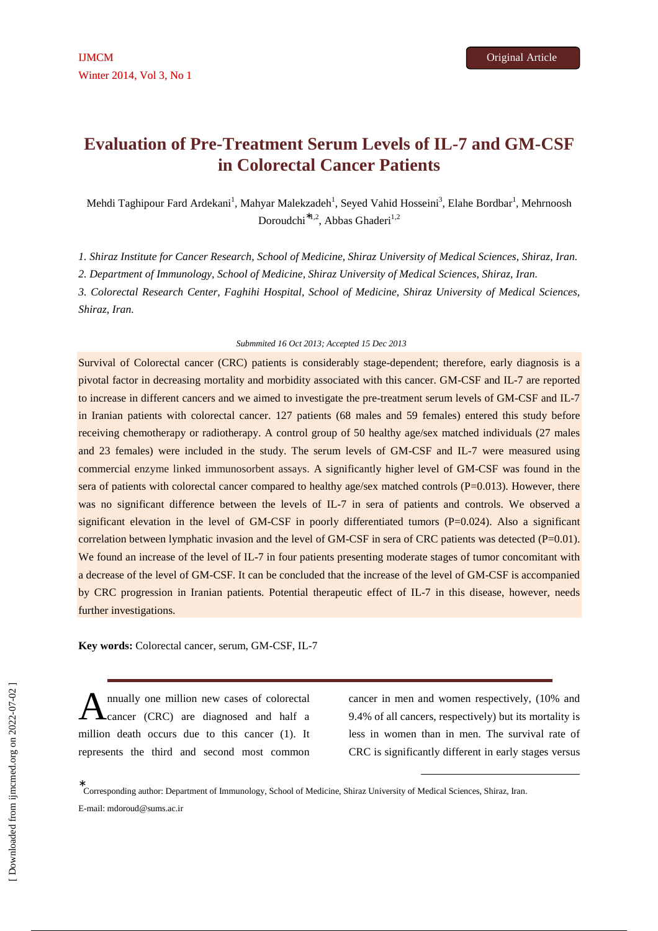# **Evaluation of Pre-Treatment Serum Levels of IL-7 and GM-CSF in Colorectal Cancer Patients**

Mehdi Taghipour Fard Ardekani<sup>1</sup>, Mahyar Malekzadeh<sup>1</sup>, Seyed Vahid Hosseini<sup>3</sup>, Elahe Bordbar<sup>1</sup>, Mehrnoosh Doroudchi<sup>\*1,2</sup>, Abbas Ghaderi<sup>1,2</sup>

*1. Shiraz Institute for Cancer Research, School of Medicine, Shiraz University of Medical Sciences, Shiraz, Iran.* 

*2. Department of Immunology, School of Medicine, Shiraz University of Medical Sciences, Shiraz, Iran.* 

*3. Colorectal Research Center, Faghihi Hospital, School of Medicine, Shiraz University of Medical Sciences, Shiraz, Iran.* 

#### *Submmited 16 Oct 2013; Accepted 15 Dec 2013*

Survival of Colorectal cancer (CRC) patients is considerably stage-dependent; therefore, early diagnosis is a pivotal factor in decreasing mortality and morbidity associated with this cancer. GM-CSF and IL-7 are reported to increase in different cancers and we aimed to investigate the pre-treatment serum levels of GM-CSF and IL-7 in Iranian patients with colorectal cancer. 127 patients (68 males and 59 females) entered this study before receiving chemotherapy or radiotherapy. A control group of 50 healthy age/sex matched individuals (27 males and 23 females) were included in the study. The serum levels of GM-CSF and IL-7 were measured using commercial enzyme linked immunosorbent assays. A significantly higher level of GM-CSF was found in the sera of patients with colorectal cancer compared to healthy age/sex matched controls (P=0.013). However, there was no significant difference between the levels of IL-7 in sera of patients and controls. We observed a significant elevation in the level of GM-CSF in poorly differentiated tumors  $(P=0.024)$ . Also a significant correlation between lymphatic invasion and the level of GM-CSF in sera of CRC patients was detected (P=0.01). We found an increase of the level of IL-7 in four patients presenting moderate stages of tumor concomitant with a decrease of the level of GM-CSF. It can be concluded that the increase of the level of GM-CSF is accompanied by CRC progression in Iranian patients. Potential therapeutic effect of IL-7 in this disease, however, needs further investigations.

**Key words:** Colorectal cancer, serum, GM-CSF, IL-7

nnually one million new cases of colorectal cancer (CRC) are diagnosed and half a million death occurs due to this cancer (1). It represents the third and second most common A

cancer in men and women respectively, (10% and 9.4% of all cancers, respectively) but its mortality is less in women than in men. The survival rate of CRC is significantly different in early stages versus

-

∗ Corresponding author: Department of Immunology, School of Medicine, Shiraz University of Medical Sciences, Shiraz, Iran. E-mail: mdoroud@sums.ac.ir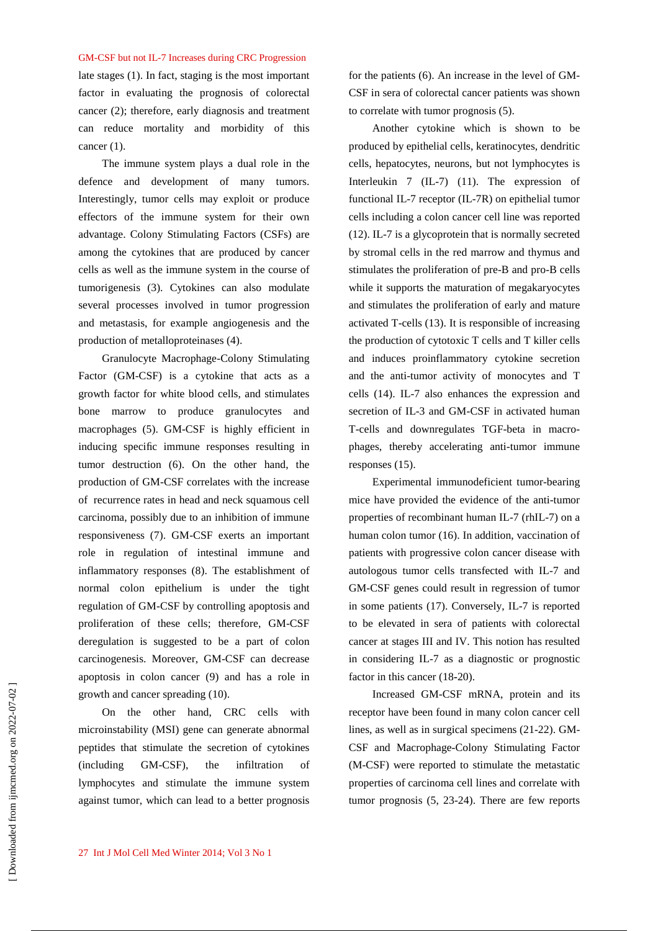late stages (1). In fact, staging is the most important factor in evaluating the prognosis of colorectal cancer (2); therefore, early diagnosis and treatment can reduce mortality and morbidity of this cancer (1).

The immune system plays a dual role in the defence and development of many tumors. Interestingly, tumor cells may exploit or produce effectors of the immune system for their own advantage. Colony Stimulating Factors (CSFs) are among the cytokines that are produced by cancer cells as well as the immune system in the course of tumorigenesis (3). Cytokines can also modulate several processes involved in tumor progression and metastasis, for example angiogenesis and the production of metalloproteinases (4).

Granulocyte Macrophage-Colony Stimulating Factor (GM-CSF) is a cytokine that acts as a growth factor for white blood cells, and stimulates bone marrow to produce granulocytes and macrophages (5). GM-CSF is highly efficient in inducing specific immune responses resulting in tumor destruction (6). On the other hand, the production of GM-CSF correlates with the increase of recurrence rates in head and neck squamous cell carcinoma, possibly due to an inhibition of immune responsiveness (7). GM-CSF exerts an important role in regulation of intestinal immune and inflammatory responses (8). The establishment of normal colon epithelium is under the tight regulation of GM-CSF by controlling apoptosis and proliferation of these cells; therefore, GM-CSF deregulation is suggested to be a part of colon carcinogenesis. Moreover, GM-CSF can decrease apoptosis in colon cancer (9) and has a role in growth and cancer spreading (10).

On the other hand, CRC cells with microinstability (MSI) gene can generate abnormal peptides that stimulate the secretion of cytokines (including GM-CSF), the infiltration of lymphocytes and stimulate the immune system against tumor, which can lead to a better prognosis

for the patients (6). An increase in the level of GM-CSF in sera of colorectal cancer patients was shown to correlate with tumor prognosis (5).

Another cytokine which is shown to be produced by epithelial cells, keratinocytes, dendritic cells, hepatocytes, neurons, but not lymphocytes is Interleukin 7 (IL-7) (11). The expression of functional IL-7 receptor (IL-7R) on epithelial tumor cells including a colon cancer cell line was reported (12). IL-7 is a glycoprotein that is normally secreted by stromal cells in the red marrow and thymus and stimulates the proliferation of pre-B and pro-B cells while it supports the maturation of megakaryocytes and stimulates the proliferation of early and mature activated T-cells (13). It is responsible of increasing the production of cytotoxic T cells and T killer cells and induces proinflammatory cytokine secretion and the anti-tumor activity of monocytes and T cells (14). IL-7 also enhances the expression and secretion of IL-3 and GM-CSF in activated human T-cells and downregulates TGF-beta in macrophages, thereby accelerating anti-tumor immune responses (15).

Experimental immunodeficient tumor-bearing mice have provided the evidence of the anti-tumor properties of recombinant human IL-7 (rhIL-7) on a human colon tumor (16). In addition, vaccination of patients with progressive colon cancer disease with autologous tumor cells transfected with IL-7 and GM-CSF genes could result in regression of tumor in some patients (17). Conversely, IL-7 is reported to be elevated in sera of patients with colorectal cancer at stages III and IV. This notion has resulted in considering IL-7 as a diagnostic or prognostic factor in this cancer (18**-**20).

Increased GM-CSF mRNA, protein and its receptor have been found in many colon cancer cell lines, as well as in surgical specimens (21-22). GM-CSF and Macrophage-Colony Stimulating Factor (M-CSF) were reported to stimulate the metastatic properties of carcinoma cell lines and correlate with tumor prognosis (5, 23-24). There are few reports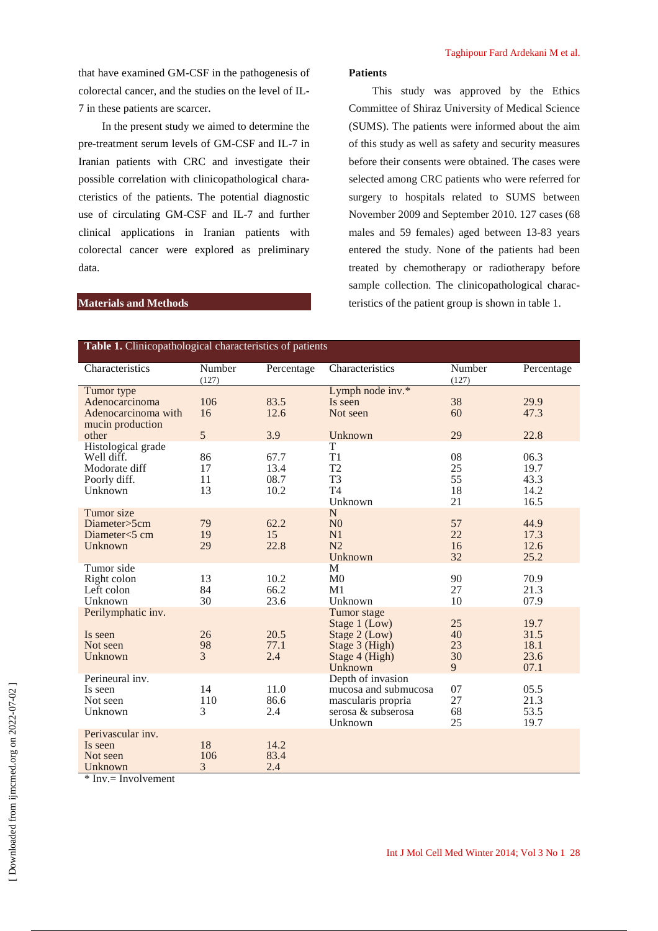that have examined GM-CSF in the pathogenesis of colorectal cancer, and the studies on the level of IL-7 in these patients are scarcer.

In the present study we aimed to determine the pre-treatment serum levels of GM-CSF and IL-7 in Iranian patients with CRC and investigate their possible correlation with clinicopathological characteristics of the patients. The potential diagnostic use of circulating GM-CSF and IL-7 and further clinical applications in Iranian patients with colorectal cancer were explored as preliminary data.

## **Patients**

This study was approved by the Ethics Committee of Shiraz University of Medical Science (SUMS). The patients were informed about the aim of this study as well as safety and security measures before their consents were obtained. The cases were selected among CRC patients who were referred for surgery to hospitals related to SUMS between November 2009 and September 2010. 127 cases (68 males and 59 females) aged between 13-83 years entered the study. None of the patients had been treated by chemotherapy or radiotherapy before sample collection. The clinicopathological characteristics of the patient group is shown in table 1.

## **Materials and Methods**

| <b>Table 1.</b> Clinicopathological characteristics of patients              |                      |                              |                                                                                                  |                            |                                      |
|------------------------------------------------------------------------------|----------------------|------------------------------|--------------------------------------------------------------------------------------------------|----------------------------|--------------------------------------|
| Characteristics                                                              | Number<br>(127)      | Percentage                   | Characteristics                                                                                  | Number<br>(127)            | Percentage                           |
| Tumor type<br>Adenocarcinoma<br>Adenocarcinoma with<br>mucin production      | 106<br>16            | 83.5<br>12.6                 | Lymph node inv.*<br>Is seen<br>Not seen                                                          | 38<br>60                   | 29.9<br>47.3                         |
| other                                                                        | 5                    | 3.9                          | Unknown                                                                                          | 29                         | 22.8                                 |
| Histological grade<br>Well diff.<br>Modorate diff<br>Poorly diff.<br>Unknown | 86<br>17<br>11<br>13 | 67.7<br>13.4<br>08.7<br>10.2 | T<br>T1<br>T <sub>2</sub><br>T <sub>3</sub><br>T <sub>4</sub><br>Unknown                         | 08<br>25<br>55<br>18<br>21 | 06.3<br>19.7<br>43.3<br>14.2<br>16.5 |
| Tumor size<br>Diameter>5cm<br>Diameter<5 cm<br>Unknown                       | 79<br>19<br>29       | 62.2<br>15<br>22.8           | N<br>N <sub>0</sub><br>N1<br>N <sub>2</sub><br>Unknown                                           | 57<br>22<br>16<br>32       | 44.9<br>17.3<br>12.6<br>25.2         |
| Tumor side<br>Right colon<br>Left colon<br>Unknown                           | 13<br>84<br>30       | 10.2<br>66.2<br>23.6         | M<br>M <sub>0</sub><br>M1<br>Unknown                                                             | 90<br>27<br>10             | 70.9<br>21.3<br>07.9                 |
| Perilymphatic inv.<br>Is seen<br>Not seen<br>Unknown                         | 26<br>98<br>3        | 20.5<br>77.1<br>2.4          | Tumor stage<br>Stage 1 (Low)<br>Stage 2 (Low)<br>Stage 3 (High)<br>Stage 4 (High)<br>Unknown     | 25<br>40<br>23<br>30<br>9  | 19.7<br>31.5<br>18.1<br>23.6<br>07.1 |
| Perineural inv.<br>Is seen<br>Not seen<br>Unknown                            | 14<br>110<br>3       | 11.0<br>86.6<br>2.4          | Depth of invasion<br>mucosa and submucosa<br>mascularis propria<br>serosa & subserosa<br>Unknown | 07<br>27<br>68<br>25       | 05.5<br>21.3<br>53.5<br>19.7         |
| Perivascular inv.<br>Is seen<br>Not seen<br>Unknown                          | 18<br>106<br>3       | 14.2<br>83.4<br>2.4          |                                                                                                  |                            |                                      |

\* Inv.= Involvement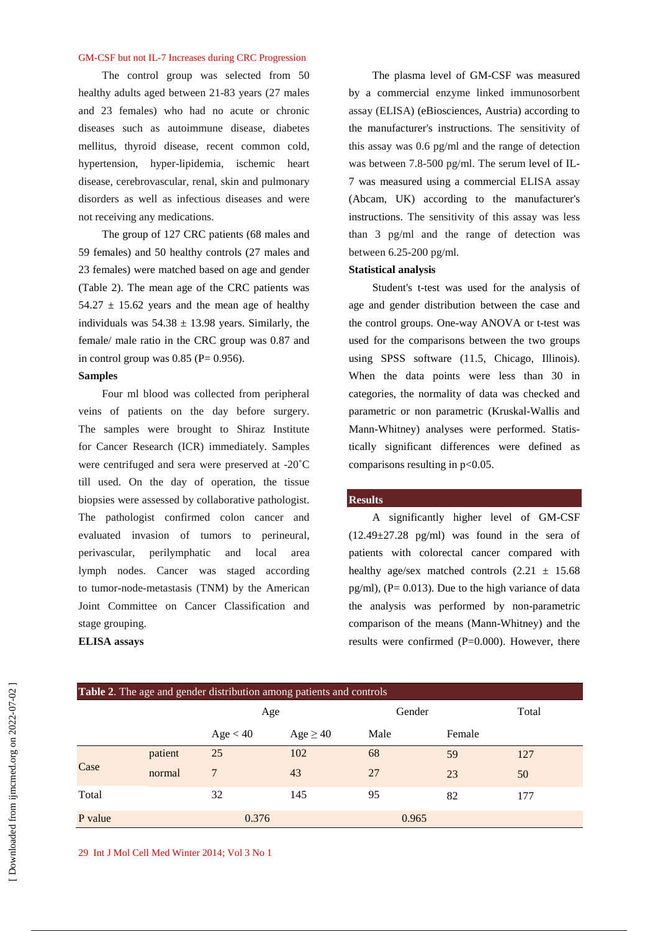The control group was selected from 50 healthy adults aged between 21-83 years (27 males and 23 females) who had no acute or chronic diseases such as autoimmune disease, diabetes mellitus, thyroid disease, recent common cold, hypertension, hyper-lipidemia, ischemic heart disease, cerebrovascular, renal, skin and pulmonary disorders as well as infectious diseases and were not receiving any medications.

The group of 127 CRC patients (68 males and 59 females) and 50 healthy controls (27 males and 23 females) were matched based on age and gender (Table 2). The mean age of the CRC patients was  $54.27 \pm 15.62$  years and the mean age of healthy individuals was  $54.38 \pm 13.98$  years. Similarly, the female/ male ratio in the CRC group was 0.87 and in control group was  $0.85$  (P= 0.956).

## **Samples**

Four ml blood was collected from peripheral veins of patients on the day before surgery. The samples were brought to Shiraz Institute for Cancer Research (ICR) immediately. Samples were centrifuged and sera were preserved at -20˚C till used. On the day of operation, the tissue biopsies were assessed by collaborative pathologist. The pathologist confirmed colon cancer and evaluated invasion of tumors to perineural, perivascular, perilymphatic and local area lymph nodes. Cancer was staged according to tumor-node-metastasis (TNM) by the American Joint Committee on Cancer Classification and stage grouping.

## **ELISA assays**

The plasma level of GM-CSF was measured by a commercial enzyme linked immunosorbent assay (ELISA) (eBiosciences, Austria) according to the manufacturer's instructions. The sensitivity of this assay was 0.6 pg/ml and the range of detection was between 7.8-500 pg/ml. The serum level of IL-7 was measured using a commercial ELISA assay (Abcam, UK) according to the manufacturer's instructions. The sensitivity of this assay was less than 3 pg/ml and the range of detection was between 6.25-200 pg/ml.

## **Statistical analysis**

Student's t-test was used for the analysis of age and gender distribution between the case and the control groups. One-way ANOVA or t-test was used for the comparisons between the two groups using SPSS software (11.5, Chicago, Illinois). When the data points were less than 30 in categories, the normality of data was checked and parametric or non parametric (Kruskal-Wallis and Mann-Whitney) analyses were performed. Statistically significant differences were defined as comparisons resulting in  $p<0.05$ .

#### **Results**

A significantly higher level of GM-CSF  $(12.49 \pm 27.28 \text{ pg/ml})$  was found in the sera of patients with colorectal cancer compared with healthy age/sex matched controls  $(2.21 \pm 15.68$  $pg/ml$ , (P= 0.013). Due to the high variance of data the analysis was performed by non-parametric comparison of the means (Mann-Whitney) and the results were confirmed  $(P=0.000)$ . However, there

| <b>Table 2.</b> The age and gender distribution among patients and controls |         |          |               |       |        |     |  |
|-----------------------------------------------------------------------------|---------|----------|---------------|-------|--------|-----|--|
|                                                                             |         | Age      |               |       | Gender |     |  |
|                                                                             |         | Age < 40 | $Age \geq 40$ | Male  | Female |     |  |
|                                                                             | patient | 25       | 102           | 68    | 59     | 127 |  |
| Case                                                                        | normal  | 7        | 43            | 27    | 23     | 50  |  |
| Total                                                                       |         | 32       | 145           | 95    | 82     | 177 |  |
| P value                                                                     |         | 0.376    |               | 0.965 |        |     |  |

29 Int J Mol Cell Med Winter 2014; Vol 3 No 1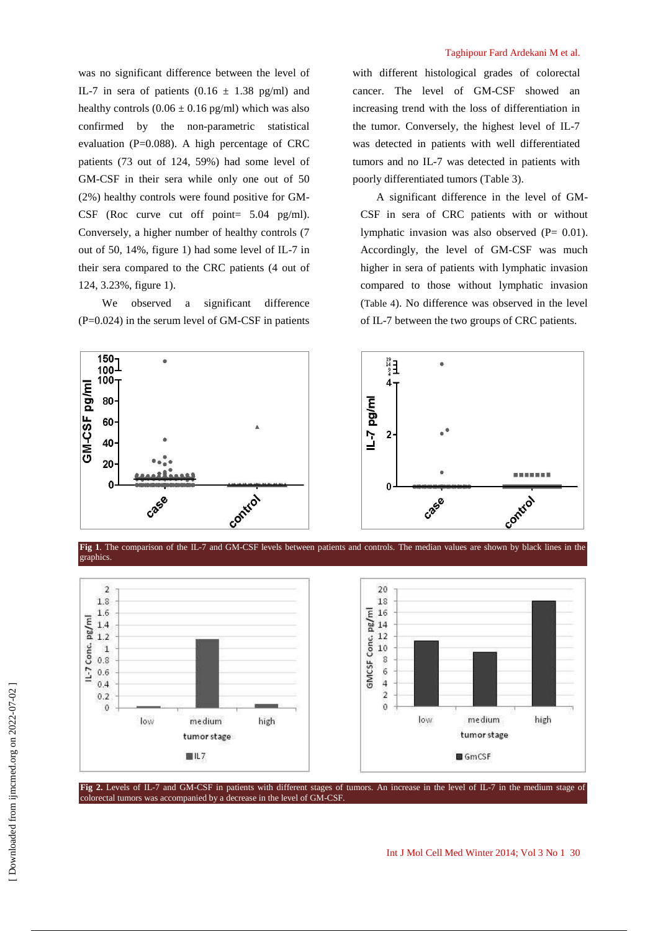was no significant difference between the level of IL-7 in sera of patients  $(0.16 \pm 1.38 \text{ pg/ml})$  and healthy controls  $(0.06 \pm 0.16 \text{ pg/ml})$  which was also confirmed by the non-parametric statistical evaluation ( $P=0.088$ ). A high percentage of CRC patients (73 out of 124, 59%) had some level of GM-CSF in their sera while only one out of 50 (2%) healthy controls were found positive for GM-CSF (Roc curve cut off point= 5.04 pg/ml). Conversely, a higher number of healthy controls (7 out of 50, 14%, figure 1) had some level of IL-7 in their sera compared to the CRC patients (4 out of 124, 3.23%, figure 1).

We observed a significant difference  $(P=0.024)$  in the serum level of GM-CSF in patients

colorectal tumors was accompanied by a decrease in the level of GM-CSF.

medium

tumor stage

 $III7$ 

high

## Taghipour Fard Ardekani M et al.

with different histological grades of colorectal cancer. The level of GM-CSF showed an increasing trend with the loss of differentiation in the tumor. Conversely, the highest level of IL-7 was detected in patients with well differentiated tumors and no IL-7 was detected in patients with poorly differentiated tumors (Table 3).

A significant difference in the level of GM-CSF in sera of CRC patients with or without lymphatic invasion was also observed (P= 0.01). Accordingly, the level of GM-CSF was much higher in sera of patients with lymphatic invasion compared to those without lymphatic invasion (Table 4). No difference was observed in the level of IL-7 between the two groups of CRC patients.



Fig 2. Levels of IL-7 and GM-CSF in patients with different stages of tumors. An increase in the level of IL-7 in the medium stage of

 $\epsilon$ 

 $\overline{4}$ 

 $\overline{2}$ 

 $\mathbf{0}$ 

low

 [\[ Downloaded from ijmcmed.org on 2022-](https://ijmcmed.org/article-1-112-en.html)07-02 ] Downloaded from ijmcmed.org on 2022-07-02  $0.6$ 

 $0.4$ 

 $0.2$ 

 $\mathbf{0}$ 

low

medium

tumor stage

GmCSF

high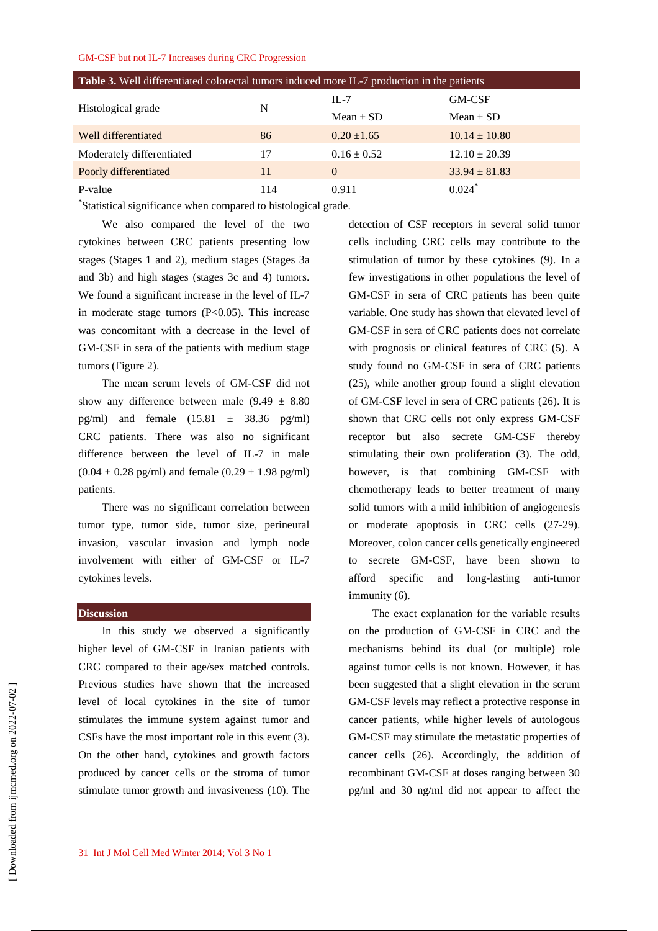| <b>Table 3.</b> Well differentiated colorectal tumors induced more IL-7 production in the patients |     |                 |                      |  |
|----------------------------------------------------------------------------------------------------|-----|-----------------|----------------------|--|
|                                                                                                    |     | $IL-7$          | <b>GM-CSF</b>        |  |
| Histological grade                                                                                 | N   | Mean $\pm$ SD   | Mean $\pm$ SD        |  |
| Well differentiated                                                                                | 86  | $0.20 \pm 1.65$ | $10.14 \pm 10.80$    |  |
| Moderately differentiated                                                                          | 17  | $0.16 \pm 0.52$ | $12.10 \pm 20.39$    |  |
| Poorly differentiated                                                                              | 11  | $\Omega$        | $33.94 \pm 81.83$    |  |
| P-value                                                                                            | 114 | 0.911           | $0.024$ <sup>*</sup> |  |

\* Statistical significance when compared to histological grade.

We also compared the level of the two cytokines between CRC patients presenting low stages (Stages 1 and 2), medium stages (Stages 3a and 3b) and high stages (stages 3c and 4) tumors. We found a significant increase in the level of IL-7 in moderate stage tumors  $(P<0.05)$ . This increase was concomitant with a decrease in the level of GM-CSF in sera of the patients with medium stage tumors (Figure 2).

The mean serum levels of GM-CSF did not show any difference between male  $(9.49 \pm 8.80)$ pg/ml) and female  $(15.81 \pm 38.36 \text{ pg/ml})$ CRC patients. There was also no significant difference between the level of IL-7 in male  $(0.04 \pm 0.28 \text{ pg/ml})$  and female  $(0.29 \pm 1.98 \text{ pg/ml})$ patients.

There was no significant correlation between tumor type, tumor side, tumor size, perineural invasion, vascular invasion and lymph node involvement with either of GM-CSF or IL-7 cytokines levels.

## **Discussion**

In this study we observed a significantly higher level of GM-CSF in Iranian patients with CRC compared to their age/sex matched controls. Previous studies have shown that the increased level of local cytokines in the site of tumor stimulates the immune system against tumor and CSFs have the most important role in this event (3). On the other hand, cytokines and growth factors produced by cancer cells or the stroma of tumor stimulate tumor growth and invasiveness (10). The detection of CSF receptors in several solid tumor cells including CRC cells may contribute to the stimulation of tumor by these cytokines (9). In a few investigations in other populations the level of GM-CSF in sera of CRC patients has been quite variable. One study has shown that elevated level of GM-CSF in sera of CRC patients does not correlate with prognosis or clinical features of CRC (5). A study found no GM-CSF in sera of CRC patients (25), while another group found a slight elevation of GM-CSF level in sera of CRC patients (26). It is shown that CRC cells not only express GM-CSF receptor but also secrete GM-CSF thereby stimulating their own proliferation (3). The odd, however, is that combining GM-CSF with chemotherapy leads to better treatment of many solid tumors with a mild inhibition of angiogenesis or moderate apoptosis in CRC cells (27-29). Moreover, colon cancer cells genetically engineered to secrete GM-CSF, have been shown to afford specific and long-lasting anti-tumor immunity (6).

The exact explanation for the variable results on the production of GM-CSF in CRC and the mechanisms behind its dual (or multiple) role against tumor cells is not known. However, it has been suggested that a slight elevation in the serum GM-CSF levels may reflect a protective response in cancer patients, while higher levels of autologous GM-CSF may stimulate the metastatic properties of cancer cells (26). Accordingly, the addition of recombinant GM-CSF at doses ranging between 30 pg/ml and 30 ng/ml did not appear to affect the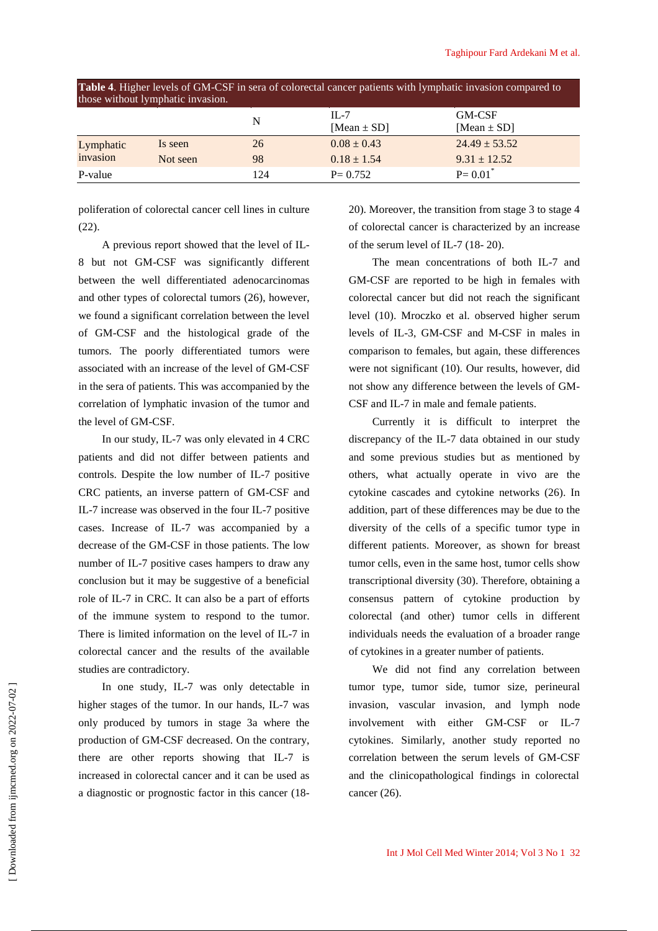| <b>Table 4.</b> Higher levels of GM-CSF in sera of colorectal cancer patients with lymphatic invasion compared to<br>those without lymphatic invasion. |          |     |                             |                           |
|--------------------------------------------------------------------------------------------------------------------------------------------------------|----------|-----|-----------------------------|---------------------------|
|                                                                                                                                                        |          | N   | $II - 7$<br>[Mean $\pm$ SD] | GM-CSF<br>[Mean $\pm$ SD] |
| Lymphatic                                                                                                                                              | Is seen  | 26  | $0.08 \pm 0.43$             | $24.49 \pm 53.52$         |
| invasion                                                                                                                                               | Not seen | 98  | $0.18 \pm 1.54$             | $9.31 \pm 12.52$          |
| P-value                                                                                                                                                |          | 124 | $P = 0.752$                 | $P = 0.01^*$              |

poliferation of colorectal cancer cell lines in culture  $(22)$ .

A previous report showed that the level of IL-8 but not GM-CSF was significantly different between the well differentiated adenocarcinomas and other types of colorectal tumors (26), however, we found a significant correlation between the level of GM-CSF and the histological grade of the tumors. The poorly differentiated tumors were associated with an increase of the level of GM-CSF in the sera of patients. This was accompanied by the correlation of lymphatic invasion of the tumor and the level of GM-CSF.

In our study, IL-7 was only elevated in 4 CRC patients and did not differ between patients and controls. Despite the low number of IL-7 positive CRC patients, an inverse pattern of GM-CSF and IL-7 increase was observed in the four IL-7 positive cases. Increase of IL-7 was accompanied by a decrease of the GM-CSF in those patients. The low number of IL-7 positive cases hampers to draw any conclusion but it may be suggestive of a beneficial role of IL-7 in CRC. It can also be a part of efforts of the immune system to respond to the tumor. There is limited information on the level of IL-7 in colorectal cancer and the results of the available studies are contradictory.

In one study, IL-7 was only detectable in higher stages of the tumor. In our hands, IL-7 was only produced by tumors in stage 3a where the production of GM-CSF decreased. On the contrary, there are other reports showing that IL-7 is increased in colorectal cancer and it can be used as a diagnostic or prognostic factor in this cancer (1820). Moreover, the transition from stage 3 to stage 4 of colorectal cancer is characterized by an increase of the serum level of IL-7 (18- 20).

The mean concentrations of both IL-7 and GM-CSF are reported to be high in females with colorectal cancer but did not reach the significant level (10). Mroczko et al. observed higher serum levels of IL-3, GM-CSF and M-CSF in males in comparison to females, but again, these differences were not significant (10). Our results, however, did not show any difference between the levels of GM-CSF and IL-7 in male and female patients.

Currently it is difficult to interpret the discrepancy of the IL-7 data obtained in our study and some previous studies but as mentioned by others, what actually operate in vivo are the cytokine cascades and cytokine networks (26). In addition, part of these differences may be due to the diversity of the cells of a specific tumor type in different patients. Moreover, as shown for breast tumor cells, even in the same host, tumor cells show transcriptional diversity (30). Therefore, obtaining a consensus pattern of cytokine production by colorectal (and other) tumor cells in different individuals needs the evaluation of a broader range of cytokines in a greater number of patients.

We did not find any correlation between tumor type, tumor side, tumor size, perineural invasion, vascular invasion, and lymph node involvement with either GM-CSF or IL-7 cytokines. Similarly, another study reported no correlation between the serum levels of GM-CSF and the clinicopathological findings in colorectal cancer (26).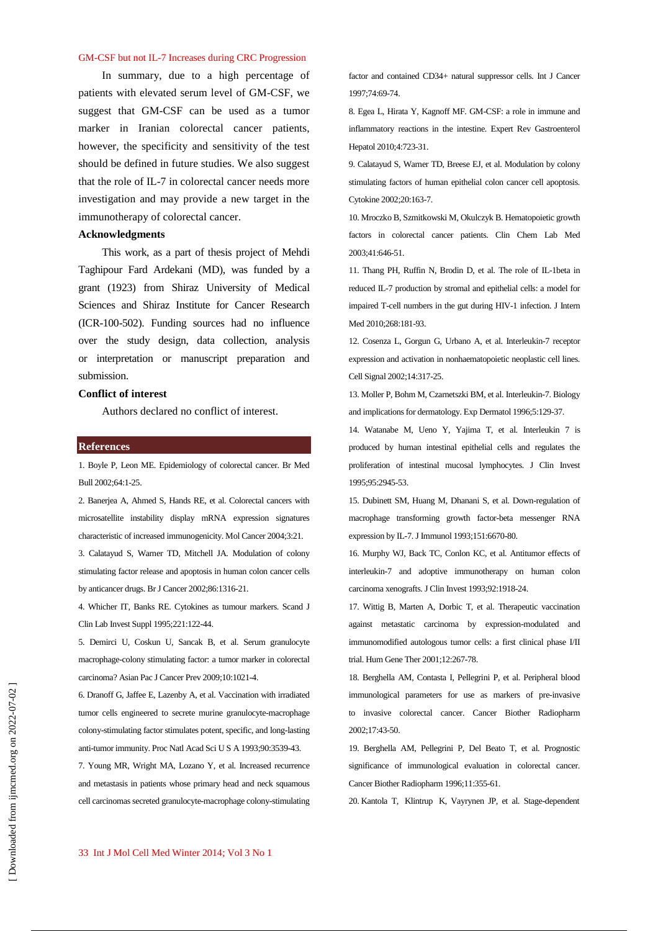In summary, due to a high percentage of patients with elevated serum level of GM-CSF, we suggest that GM-CSF can be used as a tumor marker in Iranian colorectal cancer patients, however, the specificity and sensitivity of the test should be defined in future studies. We also suggest that the role of IL-7 in colorectal cancer needs more investigation and may provide a new target in the immunotherapy of colorectal cancer.

## **Acknowledgments**

This work, as a part of thesis project of Mehdi Taghipour Fard Ardekani (MD), was funded by a grant (1923) from Shiraz University of Medical Sciences and Shiraz Institute for Cancer Research (ICR-100-502). Funding sources had no influence over the study design, data collection, analysis or interpretation or manuscript preparation and submission.

#### **Conflict of interest**

Authors declared no conflict of interest.

#### **References**

1. Boyle P, Leon ME. Epidemiology of colorectal cancer. Br Med Bull 2002;64:1-25.

2. Banerjea A, Ahmed S, Hands RE, et al. Colorectal cancers with microsatellite instability display mRNA expression signatures characteristic of increased immunogenicity. Mol Cancer 2004;3:21.

3. Calatayud S, Warner TD, Mitchell JA. Modulation of colony stimulating factor release and apoptosis in human colon cancer cells by anticancer drugs. Br J Cancer 2002;86:1316-21.

4. Whicher IT, Banks RE. Cytokines as tumour markers. Scand J Clin Lab Invest Suppl 1995;221:122-44.

5. Demirci U, Coskun U, Sancak B, et al. Serum granulocyte macrophage-colony stimulating factor: a tumor marker in colorectal carcinoma? Asian Pac J Cancer Prev 2009;10:1021-4.

6. Dranoff G, Jaffee E, Lazenby A, et al. Vaccination with irradiated tumor cells engineered to secrete murine granulocyte-macrophage colony-stimulating factor stimulates potent, specific, and long-lasting anti-tumor immunity. Proc Natl Acad Sci U S A 1993;90:3539-43.

7. Young MR, Wright MA, Lozano Y, et al. Increased recurrence and metastasis in patients whose primary head and neck squamous cell carcinomas secreted granulocyte-macrophage colony-stimulating factor and contained CD34+ natural suppressor cells. Int J Cancer 1997;74:69-74.

8. Egea L, Hirata Y, Kagnoff MF. GM-CSF: a role in immune and inflammatory reactions in the intestine. Expert Rev Gastroenterol Hepatol 2010;4:723-31.

9. Calatayud S, Warner TD, Breese EJ, et al. Modulation by colony stimulating factors of human epithelial colon cancer cell apoptosis. Cytokine 2002;20:163-7.

10. Mroczko B, Szmitkowski M, Okulczyk B. Hematopoietic growth factors in colorectal cancer patients. Clin Chem Lab Med 2003;41:646-51.

11. Thang PH, Ruffin N, Brodin D, et al. The role of IL-1beta in reduced IL-7 production by stromal and epithelial cells: a model for impaired T-cell numbers in the gut during HIV-1 infection. J Intern Med 2010;268:181-93.

12. Cosenza L, Gorgun G, Urbano A, et al. Interleukin-7 receptor expression and activation in nonhaematopoietic neoplastic cell lines. Cell Signal 2002;14:317-25.

13. Moller P, Bohm M, Czarnetszki BM, et al. Interleukin-7. Biology and implications for dermatology. Exp Dermatol 1996;5:129-37.

14. Watanabe M, Ueno Y, Yajima T, et al. Interleukin 7 is produced by human intestinal epithelial cells and regulates the proliferation of intestinal mucosal lymphocytes. J Clin Invest 1995;95:2945-53.

15. Dubinett SM, Huang M, Dhanani S, et al. Down-regulation of macrophage transforming growth factor-beta messenger RNA expression by IL-7. J Immunol 1993;151:6670-80.

16. Murphy WJ, Back TC, Conlon KC, et al. Antitumor effects of interleukin-7 and adoptive immunotherapy on human colon carcinoma xenografts. J Clin Invest 1993;92:1918-24.

17. Wittig B, Marten A, Dorbic T, et al. Therapeutic vaccination against metastatic carcinoma by expression-modulated and immunomodified autologous tumor cells: a first clinical phase I/II trial. Hum Gene Ther 2001;12:267-78.

18. Berghella AM, Contasta I, Pellegrini P, et al. Peripheral blood immunological parameters for use as markers of pre-invasive to invasive colorectal cancer. Cancer Biother Radiopharm 2002;17:43-50.

19. Berghella AM, Pellegrini P, Del Beato T, et al. Prognostic significance of immunological evaluation in colorectal cancer. Cancer Biother Radiopharm 1996;11:355-61.

20. Kantola T, Klintrup K, Vayrynen JP, et al. Stage-dependent